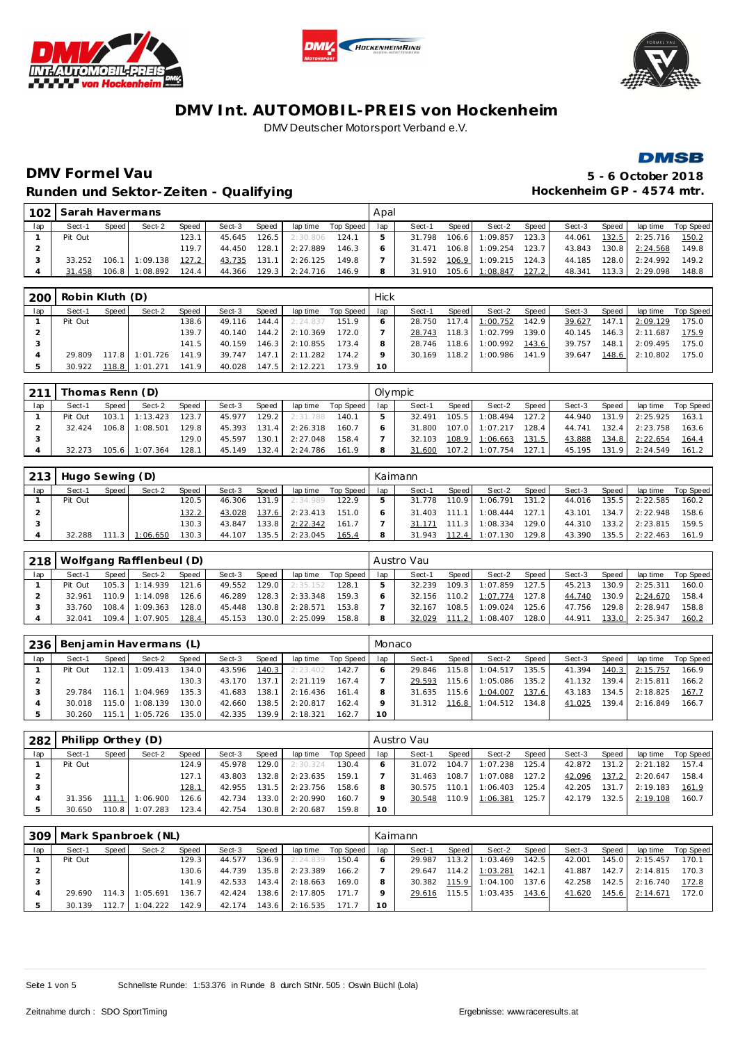







# **DMV Formel Vau 5 - 6 October 2018** Runden und Sektor-Zeiten - Qualifying **Matter and American Control Control Control** Hockenheim GP - 4574 mtr.

| 102 | Sarah Havermans |       |          |                    |        |                    |          |           | Apal |            |       |          |       |        |        |          |           |
|-----|-----------------|-------|----------|--------------------|--------|--------------------|----------|-----------|------|------------|-------|----------|-------|--------|--------|----------|-----------|
| lap | Sect-1          | Speed | Sect-2   | Speed              | Sect-3 | <b>Speed</b>       | lap time | Top Speed | lap  | Sect-1     | Speed | Sect-2   | Speed | Sect-3 | Speed  | lap time | Top Speed |
|     | Pit Out         |       |          | 123.1              | 45.645 | 126.5              | 2:30.806 | 124.1     |      | .798<br>31 | 106.6 | 1:09.857 | 123.3 | 44.061 | 132.5  | 2:25.716 | 150.2     |
|     |                 |       |          | 119.7 <sub>1</sub> | 44.450 | 128.1              | 2:27.889 | 146.3     |      | 31.471     | 106.8 | 1:09.254 | 123.7 | 43.843 | 130.8  | 2:24.568 | 149.8     |
|     | 33.252          | 106.1 | 1:09.138 | 127.2              | 43.735 | 131.1              | 2:26.125 | 149.8     |      | 31.592     | 106.9 | 1:09.215 | 124.3 | 44.185 | 128.0  | 2:24.992 | 149.2     |
|     | 31.458          | 106.8 | 1:08.892 | 124.4              | 44.366 | 129.3 <sub>1</sub> | 2:24.716 | 146.9     |      | 31.910     | 105.6 | 1:08.847 | 127.2 | 48.341 | 113.31 | 2:29.098 | 148.8     |

| 200 | Robin Kluth (D) |       |          |       |        |       |          |           | Hick            |        |       |          |       |        |       |          |           |
|-----|-----------------|-------|----------|-------|--------|-------|----------|-----------|-----------------|--------|-------|----------|-------|--------|-------|----------|-----------|
| lap | Sect-1          | Speed | Sect-2   | Speed | Sect-3 | Speed | lap time | Top Speed | lap             | Sect-1 | Speed | Sect-2   | Speed | Sect-3 | Speed | lap time | Top Speed |
|     | Pit Out         |       |          | 138.6 | 49.116 | 144.4 | 2:24.837 | 151.9     |                 | 28.750 | 117.4 | 1:00.752 | 142.9 | 39.627 | 147.1 | 2:09.129 | 175.0     |
|     |                 |       |          | 139.7 | 40.140 | 144.2 | 2:10.369 | 172.0     |                 | 28.743 | 118.3 | 1:02.799 | 139.0 | 40.145 | 146.3 | 2:11.687 | 175.9     |
|     |                 |       |          | 141.5 | 40.159 | 146.3 | 2:10.855 | 173.4     |                 | 28.746 | 118.6 | 1:00.992 | 143.6 | 39.757 | 148.1 | 2:09.495 | 175.0     |
|     | 29.809          | 117.8 | 1:01.726 | 141.9 | 39.747 | 147.1 | 2:11.282 | 174.2     |                 | 30.169 | 118.2 | 1:00.986 | 141.9 | 39.647 | 148.6 | 2:10.802 | 175.0     |
|     | 30.922          | 118.8 | 1:01.271 | 141.9 | 40.028 | 147.5 | 2:12.221 | 173.9     | 10 <sup>1</sup> |        |       |          |       |        |       |          |           |

| 211 | Thomas Renn (D) |       |                  |        |        |        |          |           | Olvmpic |        |       |                |       |        |       |          |           |
|-----|-----------------|-------|------------------|--------|--------|--------|----------|-----------|---------|--------|-------|----------------|-------|--------|-------|----------|-----------|
| lap | Sect-1          | Speed | Sect-2           | Speed  | Sect-3 | Speed  | lap time | Top Speed | lap     | Sect-1 | Speed | Sect-2         | Speed | Sect-3 | Speed | lap time | Top Speed |
|     | Pit Out         |       | $103.1$ 1:13.423 | 123.7  | 45.977 | 129.2  | 2:31.788 | 140.1     |         | 32.491 | 105.5 | 1:08.494       | 127.2 | 44.940 | 131.9 | 2:25.925 | 163.1     |
|     | 32.424          | 106.8 | 1:08.501         | 129.81 | 45.393 | 131.4  | 2:26.318 | 160.7     |         | 31.800 | 107.0 | 1:07.217       | 128.4 | 44.741 | 132.4 | 2:23.758 | 163.6     |
|     |                 |       |                  | 129.0  | 45.597 | 130.1. | 2:27.048 | 158.4     |         | 32.103 |       | 108.9 1:06.663 | 131.5 | 43.888 | 134.8 | 2:22.654 | 164.4     |
|     | 32.273          | 105.6 | 1:07.364         | 128.1  | 45.149 | 132.4  | 2:24.786 | 161.9     |         | 31.600 | 107.2 | 1:07.754       | 127.1 | 45.195 | 131.9 | 2:24.549 | 161.2     |

| 213 | Hugo Sewing (D) |       |                  |              |        |                    |          |           | Kaimann |        |        |          |       |        |       |          |           |
|-----|-----------------|-------|------------------|--------------|--------|--------------------|----------|-----------|---------|--------|--------|----------|-------|--------|-------|----------|-----------|
| lap | Sect-1          | Speed | Sect-2           | <b>Speed</b> | Sect-3 | Speed              | lap time | Top Speed | lap     | Sect-1 | Speed  | Sect-2   | Speed | Sect-3 | Speed | lap time | Top Speed |
|     | Pit Out         |       |                  | 120.5        | 46.306 | 131.9              | 2:34.989 | 122.9     |         | 31.778 | 110.91 | 1:06.791 | 131.2 | 44.016 | 135.5 | 2:22.585 | 160.2     |
|     |                 |       |                  | 132.2        | 43.028 | 137.6              | 2:23.413 | 151.0     |         | 31.403 | 111 1  | 1:08.444 | 127.1 | 43.101 | 134.7 | 2:22.948 | 158.6     |
|     |                 |       |                  | 130.3        | 43.847 | 133.8              | 2:22.342 | 161.7     |         | 31.171 | 111.3  | 1:08.334 | 129.0 | 44.310 | 133.2 | 2:23.815 | 159.5     |
|     | 32.288          |       | $111.3$ 1:06.650 | 130.3        | 44.107 | 135.5 <sub>1</sub> | 2:23.045 | 165.4     |         | 31.943 | 112.4  | 1:07.130 | 129.8 | 43.390 | 135.5 | 2:22.463 | 161.9     |

| 218 |         |         | Wolfgang Rafflenbeul (D) |                    |        |       |          |           |     | Austro Vau |       |                  |         |        |       |          |           |
|-----|---------|---------|--------------------------|--------------------|--------|-------|----------|-----------|-----|------------|-------|------------------|---------|--------|-------|----------|-----------|
| lap | Sect-1  | Speed   | Sect-2                   | Speed              | Sect-3 | Speed | lap time | Top Speed | lap | Sect-1     | Speed | Sect-2           | Speed   | Sect-3 | Speed | lap time | Top Speed |
|     | Pit Out |         | 105.3 1:14.939           | 121.6 <sub>1</sub> | 49.552 | 129.0 | 2:35.152 | 128.1     |     | 32.239     | 109.3 | 1:07.859         | 127.5   | 45.213 | 130.9 | 2:25.311 | 160.0     |
|     | 32.961  |         | 110.9 1:14.098           | 126.6              | 46.289 | 128.3 | 2:33.348 | 159.3     |     | 32.156     |       | $110.2$ 1:07.774 | 127.8   | 44.740 | 130.9 | 2:24.670 | 158.4     |
|     | 33.760  | $108.4$ | 1:09.363                 | 128.0              | 45.448 | 130.8 | 2:28.571 | 153.8     |     | 32.167     | 108.5 | 1:09.024         | 125.6   | 47.756 | 129.8 | 2:28.947 | 158.8     |
|     | 32.041  | $109.4$ | 1:07.905                 | 128.4              | 45.153 | 130.0 | 2:25.099 | 158.8     |     | 32.029     | 111.2 | 1:08.407         | 128.0 l | 44.911 | 133.0 | 2:25.347 | 160.2     |

| 236 |         |         | Benjamin Havermans (L) |                    |        |       |          |           | Monaco |              |       |                  |       |        |       |                  |           |
|-----|---------|---------|------------------------|--------------------|--------|-------|----------|-----------|--------|--------------|-------|------------------|-------|--------|-------|------------------|-----------|
| lap | Sect-1  | Speed   | Sect-2                 | Speed              | Sect-3 | Speed | lap time | Top Speed | lap    | Sect-1       | Speed | Sect-2           | Speed | Sect-3 | Speed | lap time         | Top Speed |
|     | Pit Out | 112.1   | 1:09.413               | 134.0              | 43.596 | 140.3 | 2:23.402 | 142.7     |        | 29.846       | 115.8 | 1:04.517         | 135.5 | 41.394 | 140.3 | 2:15.757         | 166.9     |
|     |         |         |                        | 130.3              | 43.170 | 137.1 | 2:21.119 | 167.4     |        | 29.593       | 115.6 | 1:05.086         | 135.2 | 41.132 | 139.4 | 2:15.811         | 166.2     |
|     | 29.784  |         | $116.1$ 1:04.969       | 135.3 <sub>1</sub> | 41.683 | 138.1 | 2:16.436 | 161.4     |        | 31.635       | 115.6 | 1:04.007         | 137.6 | 43.183 |       | $134.5$ 2:18.825 | 167.7     |
|     | 30.018  | 115.O L | 1:08.139               | 130.0              | 42.660 | 138.5 | 2:20.817 | 162.4     |        | 31.312 116.8 |       | $1:04.512$ 134.8 |       | 41.025 | 139.4 | 2:16.849         | 166.7     |
|     | 30.260  | 115.1   | 1:05.726               | 135.0              | 42.335 | 139.9 | 2:18.321 | 162.7     | 10     |              |       |                  |       |        |       |                  |           |

| . 282 | Philipp Orthey $(D)$ |       |                  |       |        |       |          |           |     | Austro Vau |       |          |                    |        |       |          |           |
|-------|----------------------|-------|------------------|-------|--------|-------|----------|-----------|-----|------------|-------|----------|--------------------|--------|-------|----------|-----------|
| lap   | Sect-1               | Speed | Sect-2           | Speed | Sect-3 | Speed | lap time | Top Speed | lap | Sect-1     | Speed | Sect-2   | Speed              | Sect-3 | Speed | lap time | Top Speed |
|       | Pit Out              |       |                  | 124.9 | 45.978 | 129.0 | 2:30.324 | 130.4     |     | 31.072     | 104.7 | 1:07.238 | 125.4              | 42.872 | 131.2 | 2:21.182 | 157.4     |
|       |                      |       |                  | 127.1 | 43.803 | 132.8 | 2:23.635 | 159.1     |     | 31.463     | 108.7 | 1:07.088 | 127.2              | 42.096 | 137.2 | 2:20.647 | 158.4     |
|       |                      |       |                  | 128.1 | 42.955 | 131.5 | 2:23.756 | 158.6     |     | 30.575     | 110.1 | 1:06.403 | 125.4              | 42.205 | 131.7 | 2:19.183 | 161.9     |
|       | 31.356               |       | $111.1$ 1:06.900 | 126.6 | 42.734 | 133.0 | 2:20.990 | 160.7     |     | 30.548     | 110.9 | 1:06.381 | 125.7 <sub>1</sub> | 42.179 | 132.5 | 2:19.108 | 160.7     |
|       | 30.650               |       | 110.8 1:07.283   | 123.4 | 42.754 | 130.8 | 2:20.687 | 159.8     | 10  |            |       |          |                    |        |       |          |           |

| 309 |         |       | Mark Spanbroek (NL) |       |        |       |          |           | Kaimann |        |       |                  |       |        |       |          |           |
|-----|---------|-------|---------------------|-------|--------|-------|----------|-----------|---------|--------|-------|------------------|-------|--------|-------|----------|-----------|
| lap | Sect-1  | Speed | Sect-2              | Speed | Sect-3 | Speed | lap time | Top Speed | lap     | Sect-1 | Speed | Sect-2           | Speed | Sect-3 | Speed | lap time | Top Speed |
|     | Pit Out |       |                     | 129.3 | 44.577 | 136.9 | 2:24.839 | 150.4     |         | 29.987 | 113.2 | 1:03.469         | 142.5 | 42.001 | 145.0 | 2:15.457 | 170.1     |
|     |         |       |                     | 130.6 | 44.739 | 135.8 | 2:23.389 | 166.2     |         | 29.647 |       | $114.2$ 1:03.281 | 142.1 | 41.887 | 142.7 | 2:14.815 | 170.3     |
|     |         |       |                     | 141.9 | 42.533 | 143.4 | 2:18.663 | 169.0     |         | 30.382 |       | 115.9 1:04.100   | 137.6 | 42.258 | 142.5 | 2:16.740 | 172.8     |
|     | 29.690  | 114.3 | 1:05.691            | 136.7 | 42.424 | 138.6 | 2:17.805 | 171.      |         | 29.616 | 115.5 | 1:03.435         | 143.6 | 41.620 | 145.6 | 2:14.671 | 172.0     |
|     | 30.139  | 112.7 | 1:04.222            | 142.9 | 42.174 | 143.6 | 2:16.535 | 171.      |         |        |       |                  |       |        |       |          |           |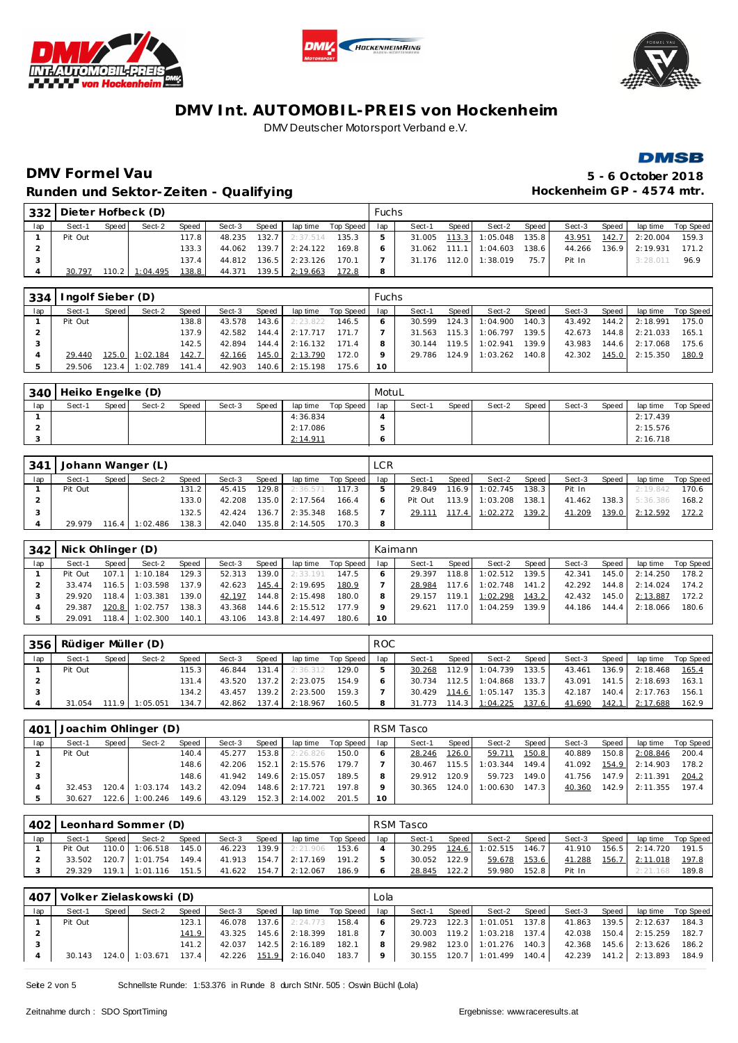







# **DMV Formel Vau 5 - 6 October 2018** Runden und Sektor-Zeiten - Qualifying **Matter and American Control Control Control** Hockenheim GP - 4574 mtr.

| 332 | Dieter Hofbeck (D) |       |          |              |        |       |          |           | Fuchs |        |       |          |        |        |       |          |           |
|-----|--------------------|-------|----------|--------------|--------|-------|----------|-----------|-------|--------|-------|----------|--------|--------|-------|----------|-----------|
| lap | Sect-1             | Speed | Sect-2   | <b>Speed</b> | Sect-3 | Speed | lap time | Top Speed | lap   | Sect-1 | Speed | Sect-2   | Speed  | Sect-3 | Speed | lap time | Top Speed |
|     | Pit Out            |       |          | 117.8        | 48.235 | 132.7 | 2:37.514 | 135.3     |       | 31.005 | 113.3 | 1:05.048 | 135.8  | 43.951 | 142.7 | 2:20.004 | 159.3     |
|     |                    |       |          | 133.3        | 44.062 | 139.7 | 2:24.122 | 169.8     |       | 31.062 | 111   | 1:04.603 | 138.61 | 44.266 | 136.9 | 2:19.931 | 171.2     |
|     |                    |       |          | 137.4        | 44.812 | 136.5 | 2:23.126 | 170.1     |       | 31.176 | 112.0 | 1:38.019 | 75.7   | Pit In |       | 3:28.01  | 96.9      |
|     | 30.797             | 110.2 | 1:04.495 | 138.8        | 44.371 | 139.5 | 2:19.663 | 172.8     | 8     |        |       |          |        |        |       |          |           |

| 334 | Ingolf Sieber (D) |       |          |                    |        |       |          |           | <b>Fuchs</b> |        |         |          |       |        |       |                |           |
|-----|-------------------|-------|----------|--------------------|--------|-------|----------|-----------|--------------|--------|---------|----------|-------|--------|-------|----------------|-----------|
| lap | Sect-1            | Speed | Sect-2   | Speed              | Sect-3 | Speed | lap time | Top Speed | lap          | Sect-1 | Speed I | Sect-2   | Speed | Sect-3 | Speed | lap time       | Top Speed |
|     | Pit Out           |       |          | 138.8 <sub>1</sub> | 43.578 | 143.6 | 2:23.822 | 146.5     |              | 30.599 | 124.3   | 1:04.900 | 140.3 | 43.492 |       | 144.2 2:18.991 | 175.0     |
|     |                   |       |          | 137.9              | 42.582 | 144.4 | 2:17.717 | 171.7     |              | 31.563 | 115.3   | 1:06.797 | 139.5 | 42.673 |       | 144.8 2:21.033 | 165.1     |
|     |                   |       |          | 142.5              | 42.894 | 144.4 | 2:16.132 | 171.4     |              | 30.144 | 119.5   | 1:02.941 | 139.9 | 43.983 |       | 144.6 2:17.068 | 175.6     |
|     | 29.440            | 125.0 | 1:02.184 | 142.7              | 42.166 | 145.0 | 2:13.790 | 172.0     |              | 29.786 | 124.9   | 1:03.262 | 140.8 | 42.302 |       | 145.0 2:15.350 | 180.9     |
|     | 29.506            | 123.4 | 1:02.789 | 141.4              | 42.903 | 140.6 | 2:15.198 | 175.6     | 10           |        |         |          |       |        |       |                |           |

| 340 | Heiko Engelke (D) |         |        |       |        |       |          |           | MotuL |        |       |        |         |        |       |          |           |
|-----|-------------------|---------|--------|-------|--------|-------|----------|-----------|-------|--------|-------|--------|---------|--------|-------|----------|-----------|
| lap | Sect-1            | Speed i | Sect-2 | Speed | Sect-3 | Speed | lap time | Top Speed | lap   | Sect-1 | Speed | Sect-2 | Speed I | Sect-3 | Speed | lap time | Top Speed |
|     |                   |         |        |       |        |       | 4:36.834 |           |       |        |       |        |         |        |       | 2:17.439 |           |
|     |                   |         |        |       |        |       | 2:17.086 |           |       |        |       |        |         |        |       | 2:15.576 |           |
|     |                   |         |        |       |        |       | 2:14.911 |           |       |        |       |        |         |        |       | 2:16.718 |           |

| 341 |         |       | Johann Wanger (L) |       |        |       |          |           | <b>LCR</b> |         |       |          |         |        |       |                |             |
|-----|---------|-------|-------------------|-------|--------|-------|----------|-----------|------------|---------|-------|----------|---------|--------|-------|----------------|-------------|
| lap | Sect-1  | Speed | Sect-2            | Speed | Sect-3 | Speed | lap time | Top Speed | lap        | Sect-1  | Speed | Sect-2   | Speed I | Sect-3 | Speed | lap time       | Top Speed I |
|     | Pit Out |       |                   | 131.2 | 45.415 | 129.8 | 2:36.571 | 117.3     |            | 29.849  | 116.9 | 1:02.745 | 138.3   | Pit In |       | 2:19.842       | 170.6       |
|     |         |       |                   | 133.0 | 42.208 | 135.0 | 2:17.564 | 166.4     |            | Pit Out | 113.9 | 1:03.208 | 138.1   | 41.462 |       | 138.3 5:36.386 | 168.2       |
|     |         |       |                   | 132.5 | 42.424 | 136.7 | 2:35.348 | 168.5     |            | 29.111  | 117.4 | 1:02.272 | 139.2   | 41.209 | 139.0 | 2:12.592       | 172.2       |
|     | 29.979  | 116.4 | 1:02.486          | 138.3 | 42.040 | 135.8 | 2:14.505 | 170.3     | 8          |         |       |          |         |        |       |                |             |

| 342 | Nick Ohlinger (D) |         |          |       |        |       |          |           |     | Kaimann |       |          |       |        |       |          |           |
|-----|-------------------|---------|----------|-------|--------|-------|----------|-----------|-----|---------|-------|----------|-------|--------|-------|----------|-----------|
| lap | Sect-1            | Speed   | Sect-2   | Speed | Sect-3 | Speed | lap time | Top Speed | lap | Sect-1  | Speed | Sect-2   | Speed | Sect-3 | Speed | lap time | Top Speed |
|     | Pit Out           | 107.1   | 1:10.184 | 129.3 | 52.313 | 139.0 | 2:33.191 | 147.5     |     | 29.397  | 118.8 | 1:02.512 | 139.5 | 42.341 | 145.0 | 2:14.250 | 178.2     |
|     | 33.474            | 116.5   | 1:03.598 | 137.9 | 42.623 | 145.4 | 2:19.695 | 180.9     |     | 28.984  | 117.6 | 1:02.748 | 141.2 | 42.292 | 144.8 | 2:14.024 | 174.2     |
|     | 29.920            | 118.4   | 1:03.381 | 139.0 | 42.197 | 144.8 | 2:15.498 | 180.0     |     | 29.157  | 119.1 | 1:02.298 | 143.2 | 42.432 | 145.0 | 2:13.887 | 172.2     |
|     | 29.387            | 120.8   | 1:02.757 | 138.3 | 43.368 | 144.6 | 2:15.512 | 177.9     |     | 29.621  | 117.0 | 1:04.259 | 139.9 | 44.186 | 144.4 | 2:18.066 | 180.6     |
|     | 29.091            | 118.4 l | 1:02.300 | 140.1 | 43.106 | 143.8 | 2:14.497 | 180.6     | 10  |         |       |          |       |        |       |          |           |

| 356 | Rüdiger Müller (D) |       |          |        |        |         |          |           | <b>ROC</b> |        |         |          |       |        |       |                  |           |
|-----|--------------------|-------|----------|--------|--------|---------|----------|-----------|------------|--------|---------|----------|-------|--------|-------|------------------|-----------|
| lap | Sect-1             | Speed | Sect-2   | Speed  | Sect-3 | Speed   | lap time | Top Speed | lap        | Sect-1 | Speed I | Sect-2   | Speed | Sect-3 | Speed | lap time         | Top Speed |
|     | Pit Out            |       |          | 115.3  | 46.844 | 131.4   | 2:36.312 | 129.0     |            | 30.268 | 112.9   | 1:04.739 | 133.5 | 43.461 | 136.9 | 2:18.468         | 165.4     |
|     |                    |       |          | 131.4  | 43.520 | 137.2   | 2:23.075 | 154.9     |            | 30.734 | 112.5   | 1:04.868 | 133.7 | 43.091 |       | $141.5$ 2:18.693 | 163.1     |
|     |                    |       |          | 134.21 | 43.457 | 139.2 I | 2:23.500 | 159.3     |            | 30.429 | 114.6   | 1:05.147 | 135.3 | 42.187 |       | 140.4 2:17.763   | 156.1     |
|     | 31.054             | 11191 | 1:05.051 | 134.7  | 42.862 | 137.4   | 2:18.967 | 160.5     |            | 31.773 | 114.3   | 1:04.225 | 137.6 | 41.690 | 142.1 | 2:17.688         | 162.9     |

| 401 |         |         | Joachim Ohlinger (D) |       |        |       |          |           |     | RSM Tasco |        |          |       |        |       |          |           |
|-----|---------|---------|----------------------|-------|--------|-------|----------|-----------|-----|-----------|--------|----------|-------|--------|-------|----------|-----------|
| lap | Sect-1  | Speed I | Sect-2               | Speed | Sect-3 | Speed | lap time | Top Speed | lap | Sect-1    | Speed  | Sect-2   | Speed | Sect-3 | Speed | lap time | Top Speed |
|     | Pit Out |         |                      | 140.4 | 45.277 | 153.8 | 2:26.826 | 150.0     |     | 28.246    | 126.0  | 59.711   | 150.8 | 40.889 | 150.8 | 2:08.846 | 200.4     |
|     |         |         |                      | 148.6 | 42.206 | 152.1 | 2:15.576 | 179.7     |     | 30.467    | 115.5  | 1:03.344 | 149.4 | 41.092 | 154.9 | 2:14.903 | 178.2     |
|     |         |         |                      | 148.6 | 41.942 | 149.6 | 2:15.057 | 189.5     |     | 29.912    | 120.91 | 59.723   | 149.0 | 41.756 | 147.9 | 2:11.391 | 204.2     |
|     | 32.453  | 120.4   | 1:03.174             | 143.2 | 42.094 | 148.6 | 2:17.721 | 197.8     |     | 30.365    | 124.0  | 1:00.630 | 147.3 | 40.360 | 142.9 | 2:11.355 | 197.4     |
|     | 30.627  | 122.6 l | 1:00.246             | 149.6 | 43.129 | 152.3 | 2:14.002 | 201.5     | 10  |           |        |          |       |        |       |          |           |

| 402 |         |       | Leonhard Sommer (D) |              |        |       |          |           |     | RSM Tasco |         |                |       |        |       |           |           |
|-----|---------|-------|---------------------|--------------|--------|-------|----------|-----------|-----|-----------|---------|----------------|-------|--------|-------|-----------|-----------|
| lap | Sect-1  | Speed | Sect-2              | <b>Speed</b> | Sect-3 | Speed | lap time | Top Speed | lan | Sect-1    | Speed I | Sect-2         | Speed | Sect-3 | Speed | lap time  | Top Speed |
|     | Pit Out | 110.0 | 1:06.518            | 145.0        | 46.223 | 139.9 | 2:21.906 | 153.6     |     | 30.295    |         | 124.6 1:02.515 | 146.7 | 41.910 | 156.5 | 2:14.720  | 191.5     |
|     | 33.502  |       | $120.7$ 1:01.754    | 149.4        | 41.913 | 154.7 | 2:17.169 | 1912      |     | 30.052    | 122.9   | 59.678         | 153.6 | 41.288 | 156.7 | 2:11.018  | 197.8     |
|     | 29.329  | 119.1 | 1:01.116            | 151.5        | 41.622 | 154.7 | 2:12.067 | 186.9     |     | 28.845    | 122.2   | 59.980         | 152.8 | Pit In |       | 2: 21.168 | 189.8     |

|     | 407   Volker Zielaskowski (D) |         |                         |       |              |       |                       |                    | Lola |        |       |                             |       |  |                                |       |
|-----|-------------------------------|---------|-------------------------|-------|--------------|-------|-----------------------|--------------------|------|--------|-------|-----------------------------|-------|--|--------------------------------|-------|
| lap | Sect-1                        | Speed I | Sect-2                  | Speed | Sect-3       | Speed |                       | lap time Top Speed | lap  | Sect-1 | Speed | Sect-2                      | Speed |  | Sect-3 Speed laptime Top Speed |       |
|     | Pit Out                       |         |                         | 123.1 | 46.078       | 137.6 | 2:24.773              | 158.4              |      | 29.723 |       | 122.3 1:01.051              | 137.8 |  | 41.863 139.5 2:12.637          | 184.3 |
|     |                               |         |                         | 141.9 | 43.325 145.6 |       | 2:18.399              | 181.8              |      |        |       | 30.003 119.2 1:03.218 137.4 |       |  | 42.038  150.4  2:15.259        | 182.7 |
|     |                               |         |                         | 141.2 | 42.037 142.5 |       | 2:16.189              | 182.1              |      | 29.982 |       | 123.0 1:01.276 140.3        |       |  | 42.368 145.6 2:13.626          | 186.2 |
|     |                               |         | 30.143  124.0  1:03.671 | 137.4 |              |       | 42.226 151.9 2:16.040 | 183.7              | 9    |        |       | 30.155 120.7 1:01.499 140.4 |       |  | 42.239  141.2  2:13.893  184.9 |       |

Seite 2 von 5 Schnellste Runde: 1:53.376 in Runde 8 durch StNr. 505 : Oswin Büchl (Lola)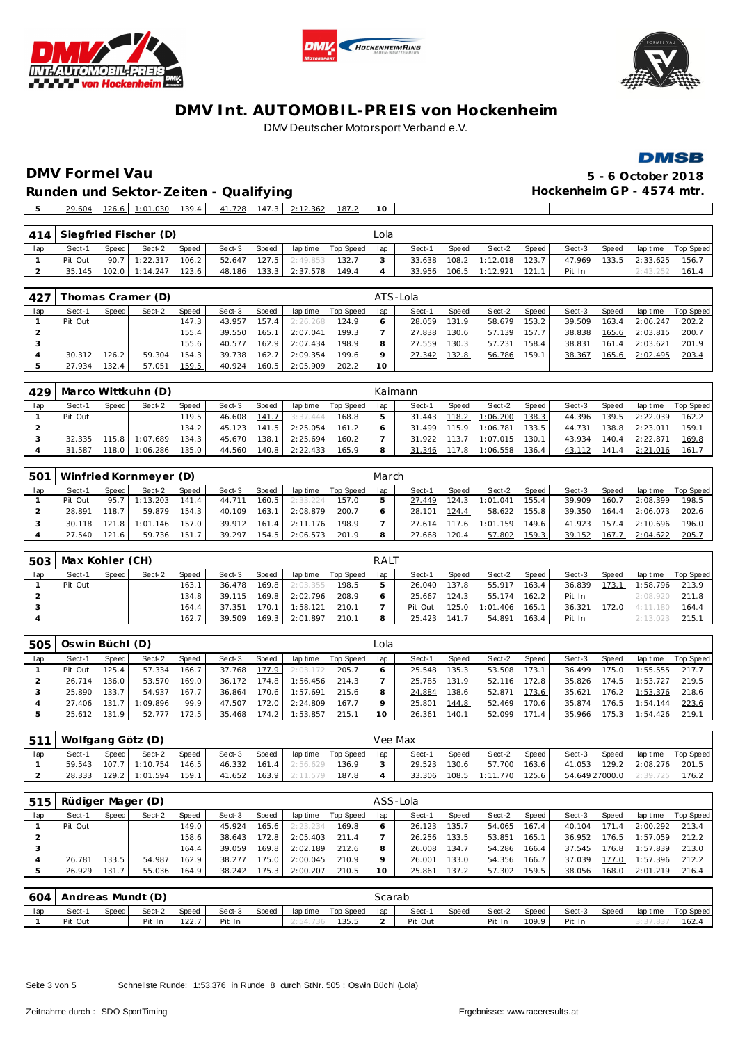





#### **DMSB**

**DMV Formel Vau 5 - 6 October 2018**  $\blacksquare$  $\mathbb{R}^n$ 

**Runden und Sektor-Zeiten - Qualifying** 29.604 126.6 1:01.030 139.4 41.728 147.3 2:12.362 187.2 **10**

|     |         |       | 414 Siegfried Fischer (D) |       |        |       |          |             | Lola |        |       |                |       |        |       |          |                    |
|-----|---------|-------|---------------------------|-------|--------|-------|----------|-------------|------|--------|-------|----------------|-------|--------|-------|----------|--------------------|
| lap | Sect-1  | Speed | Sect-2                    | Speed | Sect-3 | Speed | lap time | Top Speed I | lap  | Sect-1 | Speed | Sect-2         | Speed | Sect-3 | Speed |          | lap time Top Speed |
|     | Pit Out | 90.7  | 1:22.317                  | 106.2 | 52.647 | 127.5 | 2:49.853 | 132.7       |      | 33.638 |       | 108.2 1:12.018 | 123.7 | 47.969 | 133.5 | 2:33.625 | 156.7              |
|     | 35.145  |       | 102.0 1:14.247            | 123.6 | 48.186 | 133.3 | 2:37.578 | 149.4       |      | 33.956 |       | 106.5 1:12.921 | 121.1 | Pit In |       | 2:43.252 | 161.4              |

| 427 |         |       | [homas Cramer (D) |        |        |       |          |           |         | ATS-Lola |       |        |       |        |       |                |           |
|-----|---------|-------|-------------------|--------|--------|-------|----------|-----------|---------|----------|-------|--------|-------|--------|-------|----------------|-----------|
| lap | Sect-1  | Speed | Sect-2            | Speed  | Sect-3 | Speed | lap time | Top Speed | lap     | Sect-1   | Speed | Sect-2 | Speed | Sect-3 | Speed | lap time       | Top Speed |
|     | Pit Out |       |                   | 147.31 | 43.957 | 157.4 | 2:26.268 | 124.9     |         | 28.059   | 131.9 | 58.679 | 153.2 | 39.509 | 163.4 | 2:06.247       | 202.2     |
|     |         |       |                   | 155.4  | 39.550 | 165.1 | 2:07.041 | 199.3     |         | 27.838   | 130.6 | 57.139 | 157.7 | 38.838 |       | 165.6 2:03.815 | 200.7     |
|     |         |       |                   | 155.6  | 40.577 | 162.9 | 2:07.434 | 198.9     | 8       | 27.559   | 130.3 | 57.231 | 158.4 | 38.831 | 161.4 | 2:03.621       | 201.9     |
|     | 30.312  | 126.2 | 59.304            | 154.3  | 39.738 | 162.7 | 2:09.354 | 199.6     | $\circ$ | 27.342   | 132.8 | 56.786 | 159.1 | 38.367 | 165.6 | 2:02.495       | 203.4     |
|     | 27.934  | 132.4 | 57.051            | 159.5  | 40.924 | 160.5 | 2:05.909 | 202.2     | 10      |          |       |        |       |        |       |                |           |

| 429 |         |       | Marco Wittkuhn (D) |              |        |       |          |           |     | Kaimann |                    |          |        |        |       |          |           |
|-----|---------|-------|--------------------|--------------|--------|-------|----------|-----------|-----|---------|--------------------|----------|--------|--------|-------|----------|-----------|
| lap | Sect-1  | Speed | Sect-2             | <b>Speed</b> | Sect-3 | Speed | lap time | Top Speed | lap | Sect-1  | Speed              | Sect-2   | Speed, | Sect-3 | Speed | lap time | Top Speed |
|     | Pit Out |       |                    | 119.5        | 46.608 | 141.7 | 3:37.444 | 168.8     |     | 31.443  | 118.2              | 1:06.200 | 138.3  | 44.396 | 139.5 | 2:22.039 | 162.2     |
|     |         |       |                    | 134.2        | 45.123 | 141.5 | 2:25.054 | 161.2     |     | 31.499  | 115.9              | 1:06.781 | 133.5  | 44.731 | 138.8 | 2:23.011 | 159.1     |
|     | 32.335  | 115.8 | :07.689            | 134.3        | 45.670 | 138.1 | 2:25.694 | 160.2     |     | 31.922  | 113.7 <sub>1</sub> | 1:07.015 | 130.1  | 43.934 | 140.4 | 2:22.871 | 169.8     |
|     | 31.587  | 118.0 | :06.286            | 135.0        | 44.560 | 140.8 | 2:22.433 | 165.9     |     | 31.346  | 17.8               | 1:06.558 | 136.4  | 43.112 | 141.4 | 2:21.016 | 161.7     |

| 501 |         |       | Winfried Kornmeyer (D) |       |        |       |          |           | March |        |       |          |       |        |       |          |           |
|-----|---------|-------|------------------------|-------|--------|-------|----------|-----------|-------|--------|-------|----------|-------|--------|-------|----------|-----------|
| lap | Sect-1  | Speed | Sect-2                 | Speed | Sect-3 | Speed | lap time | Top Speed | lap   | Sect-1 | Speed | Sect-2   | Speed | Sect-3 | Speed | lap time | Top Speed |
|     | Pit Out | 95.7  | : 13.203               | 141.4 | 44.711 | 160.5 | 2:33.224 | 157.0     |       | 27.449 | 124.3 | 1:01.041 | 155.4 | 39.909 | 160.7 | 2:08.399 | 198.5     |
|     | 28.891  | 118.7 | 59.879                 | 154.3 | 40.109 | 163.1 | 2:08.879 | 200.7     |       | 28.101 | 124.4 | 58.622   | 155.8 | 39.350 | 164.4 | 2:06.073 | 202.6     |
|     | 30.118  | 121.8 | :01.146                | 157.0 | 39.912 | 161.4 | 2:11.176 | 198.9     |       | 27.614 | 117.6 | 1:01.159 | 149.6 | 41.923 | 157.4 | 2:10.696 | 196.0     |
|     | 27.540  | 121.6 | 59.736                 | 151.7 | 39.297 | 154.5 | 2:06.573 | 201.9     | 8     | 27.668 | 120.4 | 57.802   | 159.3 | 39.152 | 167.7 | 2:04.622 | 205.7     |

| 503 | Max Kohler (CH) |       |        |              |        |         |          |           | RALT |         |       |          |       |        |       |          |           |
|-----|-----------------|-------|--------|--------------|--------|---------|----------|-----------|------|---------|-------|----------|-------|--------|-------|----------|-----------|
| lap | Sect-1          | Speed | Sect-2 | <b>Speed</b> | Sect-3 | Speed   | lap time | Top Speed | lap  | Sect-1  | Speed | Sect-2   | Speed | Sect-3 | Speed | lap time | Top Speed |
|     | Pit Out         |       |        | 163.1        | 36.478 | 169.8   | 2:03.355 | 198.5     |      | 26.040  | 137.8 | 55.917   | 163.4 | 36.839 | 173.1 | 1:58.796 | 213.9     |
|     |                 |       |        | 134.8        | 39.115 | 169.8 l | 2:02.796 | 208.9     |      | 25.667  | 124.3 | 55.174   | 162.2 | Pit In |       | 2:08.920 | 211.8     |
|     |                 |       |        | 164.4        | 37.351 | 170.1 l | 1:58.121 | 210.1     |      | Pit Out | 125.0 | 1:01.406 | 165.1 | 36.321 | 172.0 | 4:11.180 | 164.4     |
|     |                 |       |        | 162.7        | 39.509 | 169.3   | 2:01.897 | 210.1     |      | 25.423  | 141.7 | 54.891   | 163.4 | Pit In |       | 2:13.023 | 215.1     |

| 505 | Oswin Büchl (D) |       |         |       |        |                    |          |           | Lola |        |       |        |       |        |       |                  |           |
|-----|-----------------|-------|---------|-------|--------|--------------------|----------|-----------|------|--------|-------|--------|-------|--------|-------|------------------|-----------|
| lap | Sect-1          | Speed | Sect-2  | Speed | Sect-3 | Speed              | lap time | Top Speed | lap  | Sect-1 | Speed | Sect-2 | Speed | Sect-3 | Speed | lap time         | Top Speed |
|     | Pit Out         | 125.4 | 57.334  | 166.7 | 37.768 | 177.9              | 2:03.172 | 205.7     |      | 25.548 | 135.3 | 53.508 | 173.1 | 36.499 | 175.0 | 1:55.555         | 217.7     |
|     | 26.714          | 136.0 | 53.570  | 169.0 | 36.172 | 174.8              | 1:56.456 | 214.3     |      | 25.785 | 131.9 | 52.116 | 172.8 | 35.826 | 174.5 | 1:53.727         | 219.5     |
|     | 25.890          | 133.7 | 54.937  | 167.7 | 36.864 | 170.6              | 1:57.691 | 215.6     |      | 24.884 | 138.6 | 52.871 | 173.6 | 35.621 |       | 176.2 1:53.376   | 218.6     |
|     | 27.406          | 131.7 | :09.896 | 99.9  | 47.507 | 172.0              | 2:24.809 | 167.7     |      | 25.801 | 144.8 | 52.469 | 170.6 | 35.874 |       | $176.5$ 1:54.144 | 223.6     |
|     | 25.612          | 131.9 | 52.777  | 72.5  | 35.468 | 174.2 <sub>1</sub> | 1:53.857 | 215.1     |      | 26.361 | 140.1 | 52.099 | 171.4 | 35.966 |       | 175.3 1:54.426   | 219.1     |

| 511 | Wolfgang Götz (D) |         |                |              |        |       |          |             | Vee Max |        |       |          |                    |                |       |          |           |
|-----|-------------------|---------|----------------|--------------|--------|-------|----------|-------------|---------|--------|-------|----------|--------------------|----------------|-------|----------|-----------|
| lap | Sect-1            | Speed I | Sect-2         | <b>Speed</b> | Sect-3 | Speed | lap time | Top Speed I | lap     | Sect-1 | Speed | Sect-2   | Speed              | Sect-3         | Speed | lap time | Top Speed |
|     | 59.543            |         | 107.7 1:10.754 | 146.5        | 46.332 | 161.4 | 2:56.629 | 136.9       |         | 29.523 | 130.6 | 57.700   | 163.6              | 41.053         | 129.2 | 2:08.276 | 201.5     |
|     | 28.333            |         | 129.2 1:01.594 | 159.1        | 41.652 | 163.9 | 2:11.579 | 187.8       |         | 33.306 | 108.5 | 1:11.770 | 125.6 <sub>1</sub> | 54.649 27000.0 |       | 2:39.725 | 176.2     |

| 515 | Rüdiger Mager (D) |       |        |       |        |       |           |           |     | ASS-Lola |       |        |       |        |       |          |           |
|-----|-------------------|-------|--------|-------|--------|-------|-----------|-----------|-----|----------|-------|--------|-------|--------|-------|----------|-----------|
| lap | Sect-1            | Speed | Sect-2 | Speed | Sect-3 | Speed | lap time  | Top Speed | lap | Sect-1   | Speed | Sect-2 | Speed | Sect-3 | Speed | lap time | Top Speed |
|     | Pit Out           |       |        | 149.0 | 45.924 | 165.6 | 2: 23.234 | 169.8     |     | 26.123   | 135.7 | 54.065 | 167.4 | 40.104 | 171.4 | 2:00.292 | 213.4     |
|     |                   |       |        | 158.6 | 38.643 | 172.8 | 2:05.403  | 211.4     |     | 26.256   | 133.5 | 53.851 | 165.1 | 36.952 | 176.5 | 1:57.059 | 212.2     |
|     |                   |       |        | 164.4 | 39.059 | 169.8 | 2:02.189  | 212.6     | 8   | 26.008   | 134.7 | 54.286 | 166.4 | 37.545 | 176.8 | 1:57.839 | 213.0     |
|     | 26.781            | 133.5 | 54.987 | 162.9 | 38.277 | 175.0 | 2:00.045  | 210.9     | Q   | 26.001   | 133.0 | 54.356 | 166.7 | 37.039 | 177.0 | 1:57.396 | 212.2     |
|     | 26.929            | 131.7 | 55.036 | 164.9 | 38.242 | 175.3 | 2:00.207  | 210.5     | 10  | 25.861   | 137.2 | 57.302 | 159.5 | 38.056 | 168.0 | 2:01.219 | 216.4     |
|     |                   |       |        |       |        |       |           |           |     |          |       |        |       |        |       |          |           |

| 604 | Andreas Mundt (D) |       |        |              |        |       |             |           | خcarab |         |       |        |       |        |       |          |           |
|-----|-------------------|-------|--------|--------------|--------|-------|-------------|-----------|--------|---------|-------|--------|-------|--------|-------|----------|-----------|
| lap | Sect-1            | Speed | Sect-2 | Speed        | Sect-3 | Speed | lap time    | Top Speed | lap    | Sect-1  | Speed | Sect-2 | Speed | Sect-3 | Speed | lap time | Top Speed |
|     | Pit Out           |       | Pit In | <u>122.7</u> | Pit In |       | : 54<br>730 | 135.5     |        | Pit Out |       | Pit In | 109.9 | Pit In |       | . 37     | 162.      |

Seite 3 von 5 Schnellste Runde: 1:53.376 in Runde 8 durch StNr. 505 : Oswin Büchl (Lola)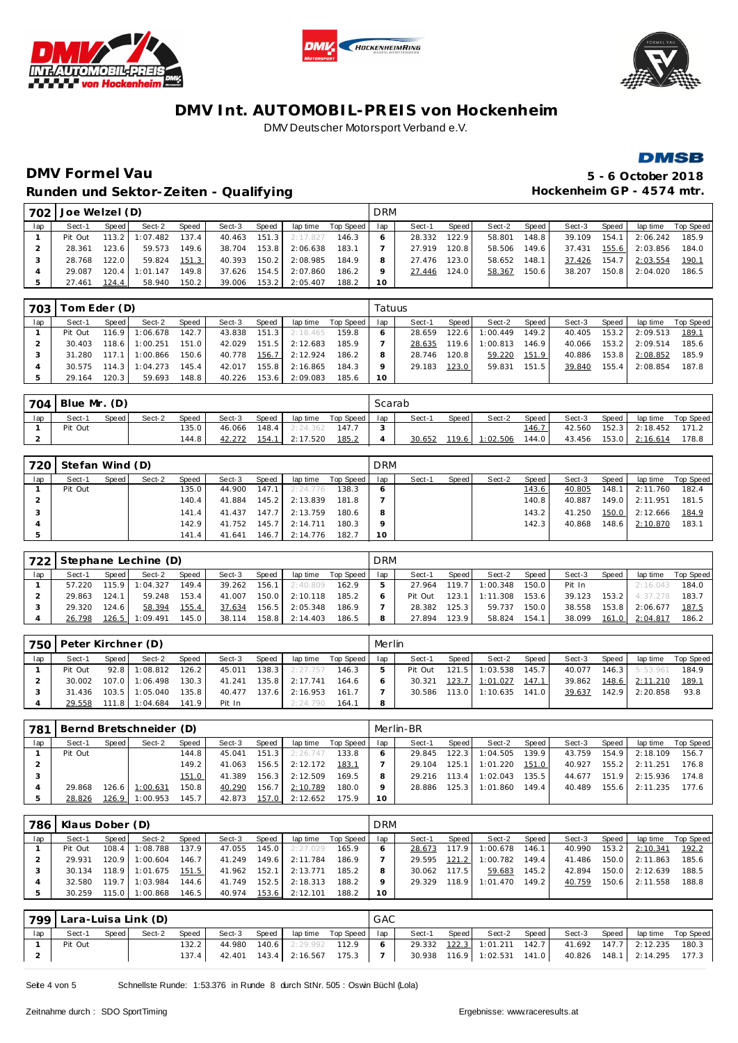







## **DMV Formel Vau 5 - 6 October 2018** Runden und Sektor-Zeiten - Qualifying **Matter and American Control Control Control** Hockenheim GP - 4574 mtr.

| 702 | Joe Welzel (D) |                        |          |       |        |       |          |           | <b>DRM</b> |        |       |        |       |        |       |          |           |
|-----|----------------|------------------------|----------|-------|--------|-------|----------|-----------|------------|--------|-------|--------|-------|--------|-------|----------|-----------|
| lap | Sect-1         | Speed                  | Sect-2   | Speed | Sect-3 | Speed | lap time | Top Speed | lap        | Sect-1 | Speed | Sect-2 | Speed | Sect-3 | Speed | lap time | Top Speed |
|     | Pit Out        | $113.2$ $\blacksquare$ | 1:07.482 | 137.4 | 40.463 | 151.3 | 2:17.827 | 146.3     |            | 28.332 | 122.9 | 58.801 | 148.8 | 39.109 | 154.1 | 2:06.242 | 185.9     |
|     | 28.361         | 123.6                  | 59.573   | 149.6 | 38.704 | 153.8 | 2:06.638 | 183.1     |            | 27.919 | 120.8 | 58.506 | 149.6 | 37.431 | 155.6 | 2:03.856 | 184.0     |
|     | 28.768         | 122.0                  | 59.824   | 151.3 | 40.393 | 150.2 | 2:08.985 | 184.9     | 8          | 27.476 | 123.0 | 58.652 | 148.1 | 37.426 | 154.7 | 2:03.554 | 190.1     |
|     | 29.087         | 120.4                  | 1:01.147 | 149.8 | 37.626 | 154.5 | 2:07.860 | 186.2     | o          | 27.446 | 124.0 | 58.367 | 150.6 | 38.207 | 150.8 | 2:04.020 | 186.5     |
|     | 27.461         | 124.4                  | 58.940   | 150.2 | 39.006 | 153.2 | 2:05.407 | 188.2     | 10         |        |       |        |       |        |       |          |           |

| 703 | Tom Eder (D) |       |          |       |        |       |          |           | Tatuus |        |       |          |       |        |       |          |           |
|-----|--------------|-------|----------|-------|--------|-------|----------|-----------|--------|--------|-------|----------|-------|--------|-------|----------|-----------|
| lap | Sect-1       | Speed | Sect-2   | Speed | Sect-3 | Speed | lap time | Top Speed | lap    | Sect-1 | Speed | Sect-2   | Speed | Sect-3 | Speed | lap time | Top Speed |
|     | Pit Out      | 116.9 | 1:06.678 | 142.7 | 43.838 | 151.3 | 2:18.465 | 159.8     |        | 28.659 | 122.6 | 1:00.449 | 149.2 | 40.405 | 153.2 | 2:09.513 | 189.1     |
|     | 30.403       | 118.6 | 1:00.251 | 151.0 | 42.029 | 151.5 | 2:12.683 | 185.9     |        | 28.635 | 119.6 | 1:00.813 | 146.9 | 40.066 | 153.2 | 2:09.514 | 185.6     |
|     | 31.280       | 117.1 | 1:00.866 | 150.6 | 40.778 | 156.7 | 2:12.924 | 186.2     | 8      | 28.746 | 120.8 | 59.220   | 151.9 | 40.886 | 153.8 | 2:08.852 | 185.9     |
|     | 30.575       | 114.3 | 1:04.273 | 145.4 | 42.017 | 155.8 | 2:16.865 | 184.3     |        | 29.183 | 123.0 | 59.831   | 151.5 | 39.840 | 155.4 | 2:08.854 | 187.8     |
|     | 29.164       | 120.3 | 59.693   | 148.8 | 40.226 | 153.6 | 2:09.083 | 185.6     | 10     |        |       |          |       |        |       |          |           |

|     | 704 Blue Mr. (D) |       |        |       |        |       |          |           | Scarab |        |         |          |         |        |       |          |           |
|-----|------------------|-------|--------|-------|--------|-------|----------|-----------|--------|--------|---------|----------|---------|--------|-------|----------|-----------|
| lap | Sect-1           | Speed | Sect-2 | Speed | Sect-3 | Speed | lap time | Top Speed | lap    | Sect-1 | Speed I | Sect-2   | Speed   | Sect-3 | Speed | lap time | Top Speed |
|     | Pit Out          |       |        | 135.0 | 46.066 | 148.4 | 2:24.362 | 147.      |        |        |         |          | 146.7   | 42.560 | 152.3 | 2:18.452 | 171.2     |
|     |                  |       |        | 144.8 | 42.272 | 154.1 | 2:17.520 | 185.2     |        | 30.652 | 119.6   | 1:02.506 | 144.O I | 43.456 | 153.0 | 2:16.614 | 178.8     |

| 720 | Stefan Wind (D) |       |        |       |        |       |          |           | <b>DRM</b>   |        |       |        |       |        |       |          |           |
|-----|-----------------|-------|--------|-------|--------|-------|----------|-----------|--------------|--------|-------|--------|-------|--------|-------|----------|-----------|
| lap | Sect-1          | Speed | Sect-2 | Speed | Sect-3 | Speed | lap time | Top Speed | lap          | Sect-1 | Speed | Sect-2 | Speed | Sect-3 | Speed | lap time | Top Speed |
|     | Pit Out         |       |        | 135.0 | 44.900 | 147.1 | 2:24.776 | 138.3     | <sup>6</sup> |        |       |        | 143.6 | 40.805 | 148.1 | 2:11.760 | 182.4     |
|     |                 |       |        | 140.4 | 41.884 | 145.2 | 2:13.839 | 181.8     |              |        |       |        | 140.8 | 40.887 | 149.0 | 2:11.951 | 181.5     |
|     |                 |       |        | 141.4 | 41.437 | 147.7 | 2:13.759 | 180.6     | 8            |        |       |        | 143.2 | 41.250 | 150.0 | 2:12.666 | 184.9     |
|     |                 |       |        | 142.9 | 41.752 | 145.7 | 2:14.711 | 180.3     | $\circ$      |        |       |        | 142.3 | 40.868 | 148.6 | 2:10.870 | 183.7     |
|     |                 |       |        | 141.4 | 41.641 | 146.7 | 2:14.776 | 182.7     | 10           |        |       |        |       |        |       |          |           |

| 722 |        |       | Stephane Lechine (D) |       |        |       |          |           | <b>DRM</b> |         |         |          |       |        |       |          |           |
|-----|--------|-------|----------------------|-------|--------|-------|----------|-----------|------------|---------|---------|----------|-------|--------|-------|----------|-----------|
| lap | Sect-1 | Speed | Sect-2               | Speed | Sect-3 | Speed | lap time | Top Speed | lap        | Sect-1  | Speed I | Sect-2   | Speed | Sect-3 | Speed | lap time | Top Speed |
|     | 57.220 | 115.9 | : 04.327             | 149.4 | 39.262 | 156.1 | 2:40.809 | 162.9     |            | 27.964  | 119.7   | 1:00.348 | 150.0 | Pit In |       | 2:16.043 | 184.0     |
|     | 29.863 | 124.1 | 59.248               | 153.4 | 41.007 | 150.0 | 2:10.118 | 185.2     |            | Pit Out | 123.1   | 1:11.308 | 153.6 | 39.123 | 153.2 | 4:37.278 | 183.7     |
|     | 29.320 | 124.6 | 58.394               | 155.4 | 37.634 | 156.5 | 2:05.348 | 186.9     |            | 28.382  | 125.3   | 59.737   | 150.0 | 38.558 | 153.8 | 2:06.677 | 187.5     |
|     | 26.798 | 126.5 | : 09.491             | 145.0 | 38.114 | 158.8 | 2:14.403 | 186.5     |            | 27.894  | 123.9   | 58.824   | 154.1 | 38.099 | 161.0 | 2:04.817 | 186.2     |

|     | 750   Peter Kirchner (D) |       |                  |       |        |       |           |           | Merlin |         |       |          |       |        |       |          |           |
|-----|--------------------------|-------|------------------|-------|--------|-------|-----------|-----------|--------|---------|-------|----------|-------|--------|-------|----------|-----------|
| lap | Sect-1                   | Speed | Sect-2           | Speed | Sect-3 | Speed | lap time  | Top Speed | lap    | Sect-1  | Speed | Sect-2   | Speed | Sect-3 | Speed | lap time | Top Speed |
|     | Pit Out                  |       | $92.8$ 1:08.812  | 126.2 | 45.011 | 138.3 | 2: 27.757 | 146.3     |        | Pit Out | 121.5 | 1:03.538 | 145.7 | 40.077 | 146.3 | 5:53.961 | 184.9     |
|     | 30.002                   |       | $107.0$ 1:06.498 | 130.3 | 41.241 | 135.8 | 2:17.741  | 164.6     |        | 30.321  | 123.7 | 1:01.027 | 147.1 | 39.862 | 148.6 | 2:11.210 | 189.      |
|     | 31.436                   |       | $103.5$ 1:05.040 | 135.8 | 40.477 | 137.6 | 2:16.953  | 161.7     |        | 30.586  | 113.0 | 1:10.635 | 141.0 | 39.637 | 142.9 | 2:20.858 | 93.8      |
|     | 29.558                   |       | $111.8$ 1:04.684 | 141.9 | Pit In |       | 2:24.790  | 164.1     |        |         |       |          |       |        |       |          |           |

| 781 |         |       | Bernd Bretschneider (D) |       |        |       |          |           |     | Merlin-BR |                    |          |        |        |       |          |           |
|-----|---------|-------|-------------------------|-------|--------|-------|----------|-----------|-----|-----------|--------------------|----------|--------|--------|-------|----------|-----------|
| lap | Sect-1  | Speed | Sect-2                  | Speed | Sect-3 | Speed | lap time | Top Speed | lap | Sect-1    | Speed              | Sect-2   | Speed  | Sect-3 | Speed | lap time | Top Speed |
|     | Pit Out |       |                         | 144.8 | 45.041 | 151.3 | 2:26.747 | 133.8     |     | 29.845    | 122.3              | 1:04.505 | 139.9  | 43.759 | 154.9 | 2:18.109 | 156.7     |
|     |         |       |                         | 149.2 | 41.063 | 156.5 | 2:12.172 | 183.1     |     | 29.104    | 125.1              | 1:01.220 | 151.0  | 40.927 | 155.2 | 2:11.251 | 176.8     |
|     |         |       |                         | 151.0 | 41.389 | 156.3 | 2:12.509 | 169.5     |     | 29.216    | 113.4              | 1:02.043 | 135.51 | 44.677 | 151.9 | 2:15.936 | 174.8     |
|     | 29.868  |       | 126.6 1:00.631          | 150.8 | 40.290 | 156.7 | 2:10.789 | 180.0     |     | 28.886    | 125.3 <sub>1</sub> | 1:01.860 | 149.4  | 40.489 | 155.6 | 2:11.235 | 177.6     |
|     | 28.826  | 126.9 | 1:00.953                | 145.7 | 42.873 | 157.0 | 2:12.652 | 175.9     | 10  |           |                    |          |        |        |       |          |           |

| 786 | Klaus Dober (D) |       |          |        |        |         |          |           | <b>DRM</b> |        |       |          |       |        |       |          |           |
|-----|-----------------|-------|----------|--------|--------|---------|----------|-----------|------------|--------|-------|----------|-------|--------|-------|----------|-----------|
| lap | Sect-1          | Speed | Sect-2   | Speed  | Sect-3 | Speed   | lap time | Top Speed | lap        | Sect-1 | Speed | Sect-2   | Speed | Sect-3 | Speed | lap time | Top Speed |
|     | Pit Out         | 108.4 | :08.788  | 137.9  | 47.055 | 145.O I | 2:27.029 | 165.9     |            | 28.673 | 117.9 | 1:00.678 | 146.1 | 40.990 | 153.2 | 2:10.341 | 192.2     |
|     | 29.931          | 120.9 | 1:00.604 | 146.7  | 41.249 | 149.6   | 2:11.784 | 186.9     |            | 29.595 | 121.2 | 1:00.782 | 149.4 | 41.486 | 150.0 | 2:11.863 | 185.6     |
|     | 30.134          | 118.9 | 1:01.675 | 151.5  | 41.962 | 152.1   | 2:13.771 | 185.2     |            | 30.062 | 117.5 | 59.683   | 145.2 | 42.894 | 150.0 | 2:12.639 | 188.5     |
|     | 32.580          | 119.7 | 1:03.984 | 144.61 | 41.749 | 152.5   | 2:18.313 | 188.2     |            | 29.329 | 118.9 | 1:01.470 | 149.2 | 40.759 | 150.6 | 2:11.558 | 188.8     |
|     | 30.259          | 115.0 | : 00.868 | 146.5  | 40.974 | 153.6   | 2:12.101 | 188.2     | 10         |        |       |          |       |        |       |          |           |

| 799 | Lara-Luisa Link (D) |       |        |       |        |       |                                | GAC |        |       |                             |       |                                |                          |  |
|-----|---------------------|-------|--------|-------|--------|-------|--------------------------------|-----|--------|-------|-----------------------------|-------|--------------------------------|--------------------------|--|
| lap | Sect-1              | Speed | Sect-2 | Speed | Sect-3 | Speed | laptime Top Speed   lap        |     | Sect-1 | Speed | Sect-2                      | Speed | Sect-3                         | Speed lap time Top Speed |  |
|     | Pit Out             |       |        | 132.2 |        |       | 44.980 140.6 2:29.992 112.9    |     |        |       | 29.332 122.3 1:01.211 142.7 |       | 41.692  147.7  2:12.235  180.3 |                          |  |
|     |                     |       |        | 137.4 |        |       | 42.401  143.4  2:16.567  175.3 |     |        |       | 30.938 116.9 1:02.531 141.0 |       | 40.826  148.1  2:14.295  177.3 |                          |  |

Seite 4 von 5 Schnellste Runde: 1:53.376 in Runde 8 durch StNr. 505 : Oswin Büchl (Lola)